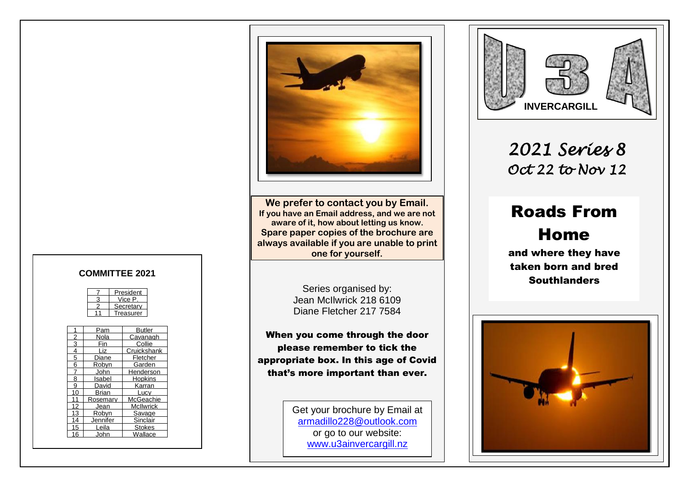

**We prefer to contact you by Email. If you have an Email address, and we are not aware of it, how about letting us know . Spare paper copies of the brochure are always available if you are unable to print one for yourself.**

> Series organised by: Jean McIlwrick 218 6109 Diane Fletcher 217 7584

When you come through the door please remember to tick the appropriate box . In this age of Covid that's more important than ever.

> Get your brochure by Email at [armadillo228@outlook.com](mailto:armadillo228@outlook.com) or go to our website: [www.u3ainvercargill.nz](http://www.u3ainvercargill.nz/)



*20 2 1 Series 8 Oct 22 to Nov 12* 

# Roads From Home

and where they have taken born and bred **Southlanders** 



#### **COMMITTEE 2021**

| President             |
|-----------------------|
| Vice P                |
| Secretary             |
| <sup>-</sup> reasurer |

|    | Pam      | Butler           |
|----|----------|------------------|
| 2  | Nola     | Cavanagh         |
| 3  |          | Collie           |
| 4  | Liz      | Cruickshank      |
| 5  | Diane    | Fletcher         |
| 6  | Robvn    | Garden           |
|    | John     | Henderson        |
| 8  | Isabel   | Hopkins          |
| 9  | David    | Karran           |
| 10 | Brian    | Lucv             |
| 11 | Rosemarv | McGeachie        |
| 12 | Jean     | <b>McIlwrick</b> |
| 13 | Robyn    | Savage           |
| 14 | Jennifer | Sinclair         |
| 15 | Leila    | <b>Stokes</b>    |
| 16 | John     | Wallace          |
|    |          |                  |